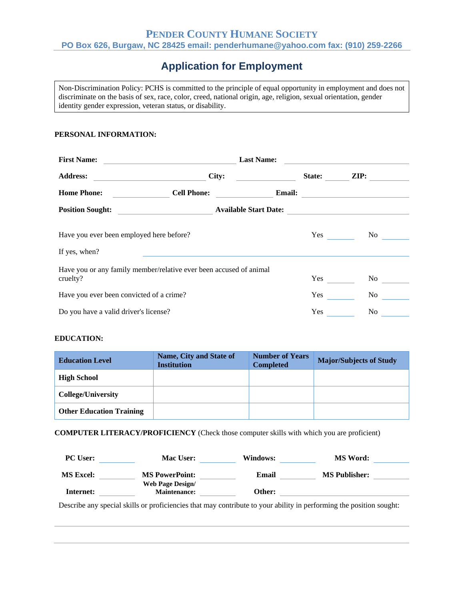## **PENDER COUNTY HUMANE SOCIETY PO Box 626, Burgaw, NC 28425 email: penderhumane@yahoo.com fax: (910) 259**‐**2266**

# **Application for Employment**

Non‐Discrimination Policy: PCHS is committed to the principle of equal opportunity in employment and does not discriminate on the basis of sex, race, color, creed, national origin, age, religion, sexual orientation, gender identity gender expression, veteran status, or disability.

#### **PERSONAL INFORMATION:**

| <b>First Name:</b>                                                             | <b>Last Name:</b>     |               |        |                                                   |
|--------------------------------------------------------------------------------|-----------------------|---------------|--------|---------------------------------------------------|
| <b>Address:</b>                                                                | City:                 |               | State: | $\mathbf{ZIP:}$                                   |
| <b>Home Phone:</b>                                                             | <b>Cell Phone:</b>    | <b>Email:</b> |        | <u> 1989 - Andrea State Barbara, amerikan per</u> |
| <b>Position Sought:</b>                                                        | Available Start Date: |               |        |                                                   |
| Have you ever been employed here before?                                       |                       |               | Yes    | No results.                                       |
| If yes, when?                                                                  |                       |               |        |                                                   |
| Have you or any family member/relative ever been accused of animal<br>cruelty? |                       |               | Yes    | No r                                              |
| Have you ever been convicted of a crime?                                       |                       |               | Yes    | No r                                              |
| Do you have a valid driver's license?                                          |                       |               | Yes    | No                                                |

### **EDUCATION:**

| <b>Education Level</b>          | Name, City and State of<br><b>Institution</b> | <b>Number of Years</b><br><b>Completed</b> | <b>Major/Subjects of Study</b> |
|---------------------------------|-----------------------------------------------|--------------------------------------------|--------------------------------|
| <b>High School</b>              |                                               |                                            |                                |
| College/University              |                                               |                                            |                                |
| <b>Other Education Training</b> |                                               |                                            |                                |

**COMPUTER LITERACY/PROFICIENCY** (Check those computer skills with which you are proficient)

| <b>PC User:</b>  | Mac User:                                      | Windows: | <b>MS Word:</b>      |  |
|------------------|------------------------------------------------|----------|----------------------|--|
| <b>MS Excel:</b> | <b>MS PowerPoint:</b>                          | Email    | <b>MS Publisher:</b> |  |
| Internet:        | <b>Web Page Design/</b><br><b>Maintenance:</b> | Other:   |                      |  |
|                  |                                                | $\cdots$ |                      |  |

Describe any special skills or proficiencies that may contribute to your ability in performing the position sought: